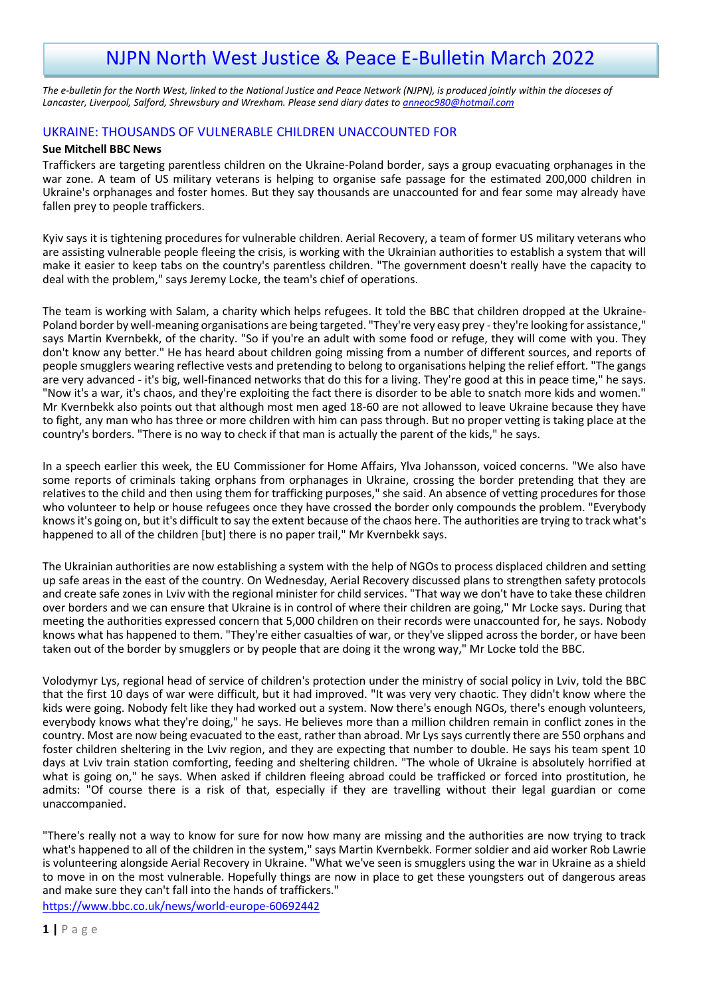# NJPN North West Justice & Peace E-Bulletin March 2022

*The e-bulletin for the North West, linked to the National Justice and Peace Network (NJPN), is produced jointly within the dioceses of Lancaster, Liverpool, Salford, Shrewsbury and Wrexham. Please send diary dates to [anneoc980@hotmail.com](mailto:anneoc980@hotmail.com)*

# UKRAINE: THOUSANDS OF VULNERABLE CHILDREN UNACCOUNTED FOR

### **Sue Mitchell BBC News**

Traffickers are targeting parentless children on the Ukraine-Poland border, says a group evacuating orphanages in the war zone. A team of US military veterans is helping to organise safe passage for the estimated 200,000 children in Ukraine's orphanages and foster homes. But they say thousands are unaccounted for and fear some may already have fallen prey to people traffickers.

Kyiv says it is tightening procedures for vulnerable children. Aerial Recovery, a team of former US military veterans who are assisting vulnerable people fleeing the crisis, is working with the Ukrainian authorities to establish a system that will make it easier to keep tabs on the country's parentless children. "The government doesn't really have the capacity to deal with the problem," says Jeremy Locke, the team's chief of operations.

The team is working with Salam, a charity which helps refugees. It told the BBC that children dropped at the Ukraine-Poland border by well-meaning organisations are being targeted. "They're very easy prey - they're looking for assistance," says Martin Kvernbekk, of the charity. "So if you're an adult with some food or refuge, they will come with you. They don't know any better." He has heard about children going missing from a number of different sources, and reports of people smugglers wearing reflective vests and pretending to belong to organisations helping the relief effort. "The gangs are very advanced - it's big, well-financed networks that do this for a living. They're good at this in peace time," he says. "Now it's a war, it's chaos, and they're exploiting the fact there is disorder to be able to snatch more kids and women." Mr Kvernbekk also points out that although most men aged 18-60 are not allowed to leave Ukraine because they have to fight, any man who has three or more children with him can pass through. But no proper vetting is taking place at the country's borders. "There is no way to check if that man is actually the parent of the kids," he says.

In a speech earlier this week, the EU Commissioner for Home Affairs, Ylva Johansson, voiced concerns. "We also have some reports of criminals taking orphans from orphanages in Ukraine, crossing the border pretending that they are relatives to the child and then using them for trafficking purposes," she said. An absence of vetting procedures for those who volunteer to help or house refugees once they have crossed the border only compounds the problem. "Everybody knows it's going on, but it's difficult to say the extent because of the chaos here. The authorities are trying to track what's happened to all of the children [but] there is no paper trail," Mr Kvernbekk says.

The Ukrainian authorities are now establishing a system with the help of NGOs to process displaced children and setting up safe areas in the east of the country. On Wednesday, Aerial Recovery discussed plans to strengthen safety protocols and create safe zones in Lviv with the regional minister for child services. "That way we don't have to take these children over borders and we can ensure that Ukraine is in control of where their children are going," Mr Locke says. During that meeting the authorities expressed concern that 5,000 children on their records were unaccounted for, he says. Nobody knows what has happened to them. "They're either casualties of war, or they've slipped across the border, or have been taken out of the border by smugglers or by people that are doing it the wrong way," Mr Locke told the BBC.

Volodymyr Lys, regional head of service of children's protection under the ministry of social policy in Lviv, told the BBC that the first 10 days of war were difficult, but it had improved. "It was very very chaotic. They didn't know where the kids were going. Nobody felt like they had worked out a system. Now there's enough NGOs, there's enough volunteers, everybody knows what they're doing," he says. He believes more than a million children remain in conflict zones in the country. Most are now being evacuated to the east, rather than abroad. Mr Lys says currently there are 550 orphans and foster children sheltering in the Lviv region, and they are expecting that number to double. He says his team spent 10 days at Lviv train station comforting, feeding and sheltering children. "The whole of Ukraine is absolutely horrified at what is going on," he says. When asked if children fleeing abroad could be trafficked or forced into prostitution, he admits: "Of course there is a risk of that, especially if they are travelling without their legal guardian or come unaccompanied.

"There's really not a way to know for sure for now how many are missing and the authorities are now trying to track what's happened to all of the children in the system," says Martin Kvernbekk. Former soldier and aid worker Rob Lawrie is volunteering alongside Aerial Recovery in Ukraine. "What we've seen is smugglers using the war in Ukraine as a shield to move in on the most vulnerable. Hopefully things are now in place to get these youngsters out of dangerous areas and make sure they can't fall into the hands of traffickers."

<https://www.bbc.co.uk/news/world-europe-60692442>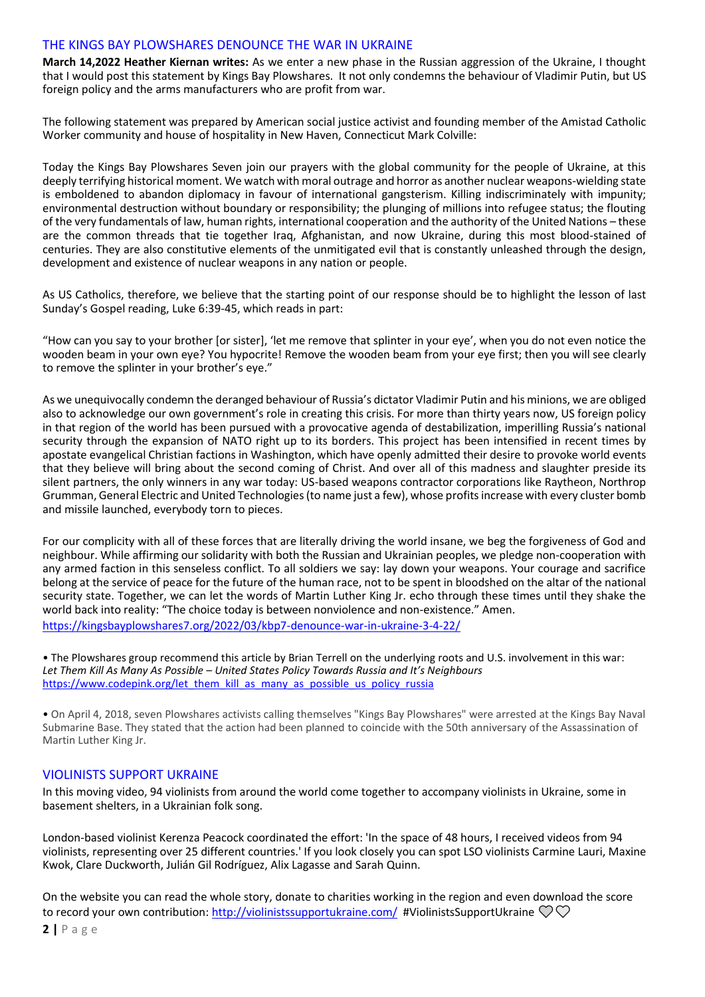### THE KINGS BAY PLOWSHARES DENOUNCE THE WAR IN UKRAINE

**March 14,2022 Heather Kiernan writes:** As we enter a new phase in the Russian aggression of the Ukraine, I thought that I would post this statement by Kings Bay Plowshares. It not only condemns the behaviour of Vladimir Putin, but US foreign policy and the arms manufacturers who are profit from war.

The following statement was prepared by American social justice activist and founding member of the Amistad Catholic Worker community and house of hospitality in New Haven, Connecticut Mark Colville:

Today the Kings Bay Plowshares Seven join our prayers with the global community for the people of Ukraine, at this deeply terrifying historical moment. We watch with moral outrage and horror as another nuclear weapons-wielding state is emboldened to abandon diplomacy in favour of international gangsterism. Killing indiscriminately with impunity; environmental destruction without boundary or responsibility; the plunging of millions into refugee status; the flouting of the very fundamentals of law, human rights, international cooperation and the authority of the United Nations – these are the common threads that tie together Iraq, Afghanistan, and now Ukraine, during this most blood-stained of centuries. They are also constitutive elements of the unmitigated evil that is constantly unleashed through the design, development and existence of nuclear weapons in any nation or people.

As US Catholics, therefore, we believe that the starting point of our response should be to highlight the lesson of last Sunday's Gospel reading, Luke 6:39-45, which reads in part:

"How can you say to your brother [or sister], 'let me remove that splinter in your eye', when you do not even notice the wooden beam in your own eye? You hypocrite! Remove the wooden beam from your eye first; then you will see clearly to remove the splinter in your brother's eye."

As we unequivocally condemn the deranged behaviour of Russia's dictator Vladimir Putin and his minions, we are obliged also to acknowledge our own government's role in creating this crisis. For more than thirty years now, US foreign policy in that region of the world has been pursued with a provocative agenda of destabilization, imperilling Russia's national security through the expansion of NATO right up to its borders. This project has been intensified in recent times by apostate evangelical Christian factions in Washington, which have openly admitted their desire to provoke world events that they believe will bring about the second coming of Christ. And over all of this madness and slaughter preside its silent partners, the only winners in any war today: US-based weapons contractor corporations like Raytheon, Northrop Grumman, General Electric and United Technologies (to name just a few), whose profits increase with every cluster bomb and missile launched, everybody torn to pieces.

For our complicity with all of these forces that are literally driving the world insane, we beg the forgiveness of God and neighbour. While affirming our solidarity with both the Russian and Ukrainian peoples, we pledge non-cooperation with any armed faction in this senseless conflict. To all soldiers we say: lay down your weapons. Your courage and sacrifice belong at the service of peace for the future of the human race, not to be spent in bloodshed on the altar of the national security state. Together, we can let the words of Martin Luther King Jr. echo through these times until they shake the world back into reality: "The choice today is between nonviolence and non-existence." Amen. <https://kingsbayplowshares7.org/2022/03/kbp7-denounce-war-in-ukraine-3-4-22/>

• The Plowshares group recommend this article by Brian Terrell on the underlying roots and U.S. involvement in this war: *Let Them Kill As Many As Possible – United States Policy Towards Russia and It's Neighbours*  [https://www.codepink.org/let\\_them\\_kill\\_as\\_many\\_as\\_possible\\_us\\_policy\\_russia](https://www.codepink.org/let_them_kill_as_many_as_possible_us_policy_russia)

• On April 4, 2018, seven Plowshares activists calling themselves "Kings Bay Plowshares" were arrested at the Kings Bay Naval Submarine Base. They stated that the action had been planned to coincide with the 50th anniversary of the Assassination of Martin Luther King Jr.

# VIOLINISTS SUPPORT UKRAINE

In this moving video, 94 violinists from around the world come together to accompany violinists in Ukraine, some in basement shelters, in a Ukrainian folk song.

London-based violinist Kerenza Peacock coordinated the effort: 'In the space of 48 hours, I received videos from 94 violinists, representing over 25 different countries.' If you look closely you can spot LSO violinists Carmine Lauri, Maxine Kwok, Clare Duckworth, Julián Gil Rodríguez, Alix Lagasse and Sarah Quinn.

On the website you can read the whole story, donate to charities working in the region and even download the score to record your own contribution:<http://violinistssupportukraine.com/>#ViolinistsSupportUkraine  $\mathcal{D}\mathcal{D}$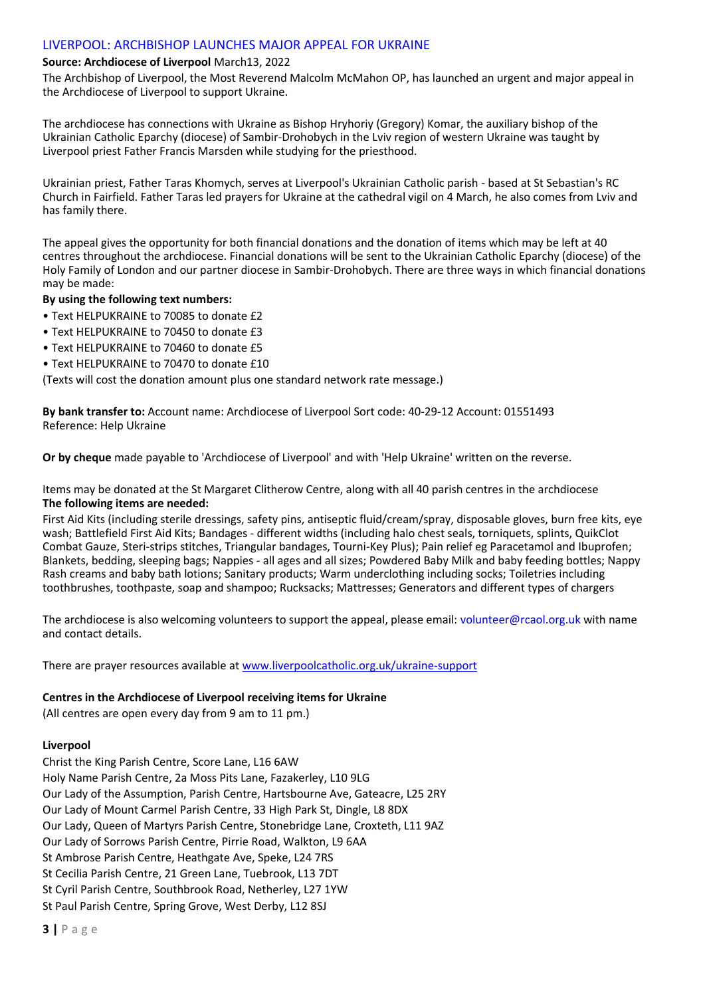# LIVERPOOL: ARCHBISHOP LAUNCHES MAJOR APPEAL FOR UKRAINE

# **Source: Archdiocese of Liverpool** March13, 2022

The Archbishop of Liverpool, the Most Reverend Malcolm McMahon OP, has launched an urgent and major appeal in the Archdiocese of Liverpool to support Ukraine.

The archdiocese has connections with Ukraine as Bishop Hryhoriy (Gregory) Komar, the auxiliary bishop of the Ukrainian Catholic Eparchy (diocese) of Sambir-Drohobych in the Lviv region of western Ukraine was taught by Liverpool priest Father Francis Marsden while studying for the priesthood.

Ukrainian priest, Father Taras Khomych, serves at Liverpool's Ukrainian Catholic parish - based at St Sebastian's RC Church in Fairfield. Father Taras led prayers for Ukraine at the cathedral vigil on 4 March, he also comes from Lviv and has family there.

The appeal gives the opportunity for both financial donations and the donation of items which may be left at 40 centres throughout the archdiocese. Financial donations will be sent to the Ukrainian Catholic Eparchy (diocese) of the Holy Family of London and our partner diocese in Sambir-Drohobych. There are three ways in which financial donations may be made:

### **By using the following text numbers:**

- Text HELPUKRAINE to 70085 to donate £2
- Text HELPUKRAINE to 70450 to donate £3
- Text HFLPUKRAINE to 70460 to donate £5
- Text HFI PUKRAINE to 70470 to donate £10

(Texts will cost the donation amount plus one standard network rate message.)

**By bank transfer to:** Account name: Archdiocese of Liverpool Sort code: 40-29-12 Account: 01551493 Reference: Help Ukraine

**Or by cheque** made payable to 'Archdiocese of Liverpool' and with 'Help Ukraine' written on the reverse.

Items may be donated at the St Margaret Clitherow Centre, along with all 40 parish centres in the archdiocese **The following items are needed:**

First Aid Kits (including sterile dressings, safety pins, antiseptic fluid/cream/spray, disposable gloves, burn free kits, eye wash; Battlefield First Aid Kits; Bandages - different widths (including halo chest seals, torniquets, splints, QuikClot Combat Gauze, Steri-strips stitches, Triangular bandages, Tourni-Key Plus); Pain relief eg Paracetamol and Ibuprofen; Blankets, bedding, sleeping bags; Nappies - all ages and all sizes; Powdered Baby Milk and baby feeding bottles; Nappy Rash creams and baby bath lotions; Sanitary products; Warm underclothing including socks; Toiletries including toothbrushes, toothpaste, soap and shampoo; Rucksacks; Mattresses; Generators and different types of chargers

The archdiocese is also welcoming volunteers to support the appeal, please email: volunteer@rcaol.org.uk with name and contact details.

There are prayer resources available at www.liverpoolcatholic.org.uk/ukraine-support

### **Centres in the Archdiocese of Liverpool receiving items for Ukraine**

(All centres are open every day from 9 am to 11 pm.)

# **Liverpool**

Christ the King Parish Centre, Score Lane, L16 6AW Holy Name Parish Centre, 2a Moss Pits Lane, Fazakerley, L10 9LG Our Lady of the Assumption, Parish Centre, Hartsbourne Ave, Gateacre, L25 2RY Our Lady of Mount Carmel Parish Centre, 33 High Park St, Dingle, L8 8DX Our Lady, Queen of Martyrs Parish Centre, Stonebridge Lane, Croxteth, L11 9AZ Our Lady of Sorrows Parish Centre, Pirrie Road, Walkton, L9 6AA St Ambrose Parish Centre, Heathgate Ave, Speke, L24 7RS St Cecilia Parish Centre, 21 Green Lane, Tuebrook, L13 7DT St Cyril Parish Centre, Southbrook Road, Netherley, L27 1YW St Paul Parish Centre, Spring Grove, West Derby, L12 8SJ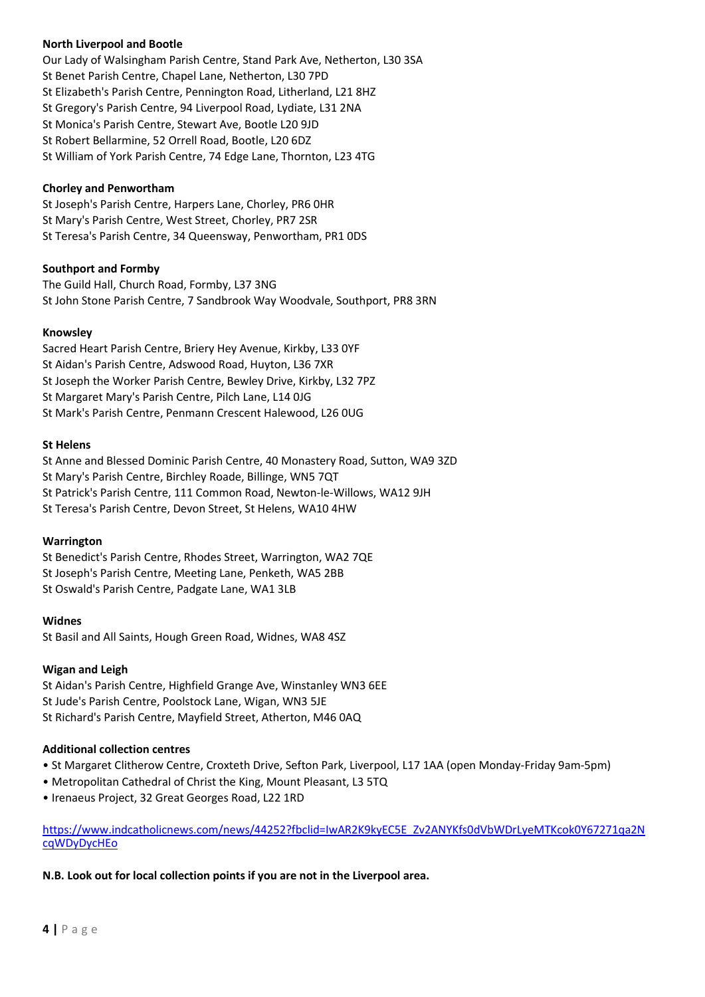# **North Liverpool and Bootle**

Our Lady of Walsingham Parish Centre, Stand Park Ave, Netherton, L30 3SA St Benet Parish Centre, Chapel Lane, Netherton, L30 7PD St Elizabeth's Parish Centre, Pennington Road, Litherland, L21 8HZ St Gregory's Parish Centre, 94 Liverpool Road, Lydiate, L31 2NA St Monica's Parish Centre, Stewart Ave, Bootle L20 9JD St Robert Bellarmine, 52 Orrell Road, Bootle, L20 6DZ St William of York Parish Centre, 74 Edge Lane, Thornton, L23 4TG

### **Chorley and Penwortham**

St Joseph's Parish Centre, Harpers Lane, Chorley, PR6 0HR St Mary's Parish Centre, West Street, Chorley, PR7 2SR St Teresa's Parish Centre, 34 Queensway, Penwortham, PR1 0DS

# **Southport and Formby**

The Guild Hall, Church Road, Formby, L37 3NG St John Stone Parish Centre, 7 Sandbrook Way Woodvale, Southport, PR8 3RN

### **Knowsley**

Sacred Heart Parish Centre, Briery Hey Avenue, Kirkby, L33 0YF St Aidan's Parish Centre, Adswood Road, Huyton, L36 7XR St Joseph the Worker Parish Centre, Bewley Drive, Kirkby, L32 7PZ St Margaret Mary's Parish Centre, Pilch Lane, L14 0JG St Mark's Parish Centre, Penmann Crescent Halewood, L26 0UG

### **St Helens**

St Anne and Blessed Dominic Parish Centre, 40 Monastery Road, Sutton, WA9 3ZD St Mary's Parish Centre, Birchley Roade, Billinge, WN5 7QT St Patrick's Parish Centre, 111 Common Road, Newton-le-Willows, WA12 9JH St Teresa's Parish Centre, Devon Street, St Helens, WA10 4HW

# **Warrington**

St Benedict's Parish Centre, Rhodes Street, Warrington, WA2 7QE St Joseph's Parish Centre, Meeting Lane, Penketh, WA5 2BB St Oswald's Parish Centre, Padgate Lane, WA1 3LB

### **Widnes**

St Basil and All Saints, Hough Green Road, Widnes, WA8 4SZ

# **Wigan and Leigh**

St Aidan's Parish Centre, Highfield Grange Ave, Winstanley WN3 6EE St Jude's Parish Centre, Poolstock Lane, Wigan, WN3 5JE St Richard's Parish Centre, Mayfield Street, Atherton, M46 0AQ

# **Additional collection centres**

- St Margaret Clitherow Centre, Croxteth Drive, Sefton Park, Liverpool, L17 1AA (open Monday-Friday 9am-5pm)
- Metropolitan Cathedral of Christ the King, Mount Pleasant, L3 5TQ
- Irenaeus Project, 32 Great Georges Road, L22 1RD

[https://www.indcatholicnews.com/news/44252?fbclid=IwAR2K9kyEC5E\\_Zv2ANYKfs0dVbWDrLyeMTKcok0Y67271qa2N](https://www.indcatholicnews.com/news/44252?fbclid=IwAR2K9kyEC5E_Zv2ANYKfs0dVbWDrLyeMTKcok0Y67271qa2NcqWDyDycHEo) [cqWDyDycHEo](https://www.indcatholicnews.com/news/44252?fbclid=IwAR2K9kyEC5E_Zv2ANYKfs0dVbWDrLyeMTKcok0Y67271qa2NcqWDyDycHEo)

# **N.B. Look out for local collection points if you are not in the Liverpool area.**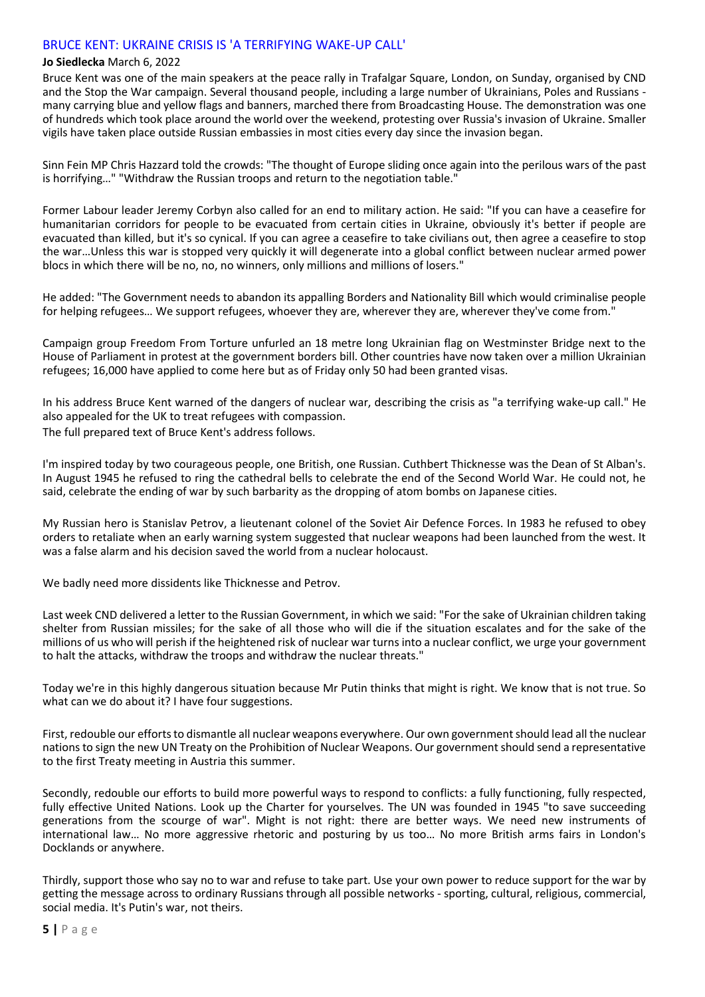# BRUCE KENT: UKRAINE CRISIS IS 'A TERRIFYING WAKE-UP CALL'

#### **Jo Siedlecka** March 6, 2022

Bruce Kent was one of the main speakers at the peace rally in Trafalgar Square, London, on Sunday, organised by CND and the Stop the War campaign. Several thousand people, including a large number of Ukrainians, Poles and Russians many carrying blue and yellow flags and banners, marched there from Broadcasting House. The demonstration was one of hundreds which took place around the world over the weekend, protesting over Russia's invasion of Ukraine. Smaller vigils have taken place outside Russian embassies in most cities every day since the invasion began.

Sinn Fein MP Chris Hazzard told the crowds: "The thought of Europe sliding once again into the perilous wars of the past is horrifying…" "Withdraw the Russian troops and return to the negotiation table."

Former Labour leader Jeremy Corbyn also called for an end to military action. He said: "If you can have a ceasefire for humanitarian corridors for people to be evacuated from certain cities in Ukraine, obviously it's better if people are evacuated than killed, but it's so cynical. If you can agree a ceasefire to take civilians out, then agree a ceasefire to stop the war…Unless this war is stopped very quickly it will degenerate into a global conflict between nuclear armed power blocs in which there will be no, no, no winners, only millions and millions of losers."

He added: "The Government needs to abandon its appalling Borders and Nationality Bill which would criminalise people for helping refugees… We support refugees, whoever they are, wherever they are, wherever they've come from."

Campaign group Freedom From Torture unfurled an 18 metre long Ukrainian flag on Westminster Bridge next to the House of Parliament in protest at the government borders bill. Other countries have now taken over a million Ukrainian refugees; 16,000 have applied to come here but as of Friday only 50 had been granted visas.

In his address Bruce Kent warned of the dangers of nuclear war, describing the crisis as "a terrifying wake-up call." He also appealed for the UK to treat refugees with compassion.

The full prepared text of Bruce Kent's address follows.

I'm inspired today by two courageous people, one British, one Russian. Cuthbert Thicknesse was the Dean of St Alban's. In August 1945 he refused to ring the cathedral bells to celebrate the end of the Second World War. He could not, he said, celebrate the ending of war by such barbarity as the dropping of atom bombs on Japanese cities.

My Russian hero is Stanislav Petrov, a lieutenant colonel of the Soviet Air Defence Forces. In 1983 he refused to obey orders to retaliate when an early warning system suggested that nuclear weapons had been launched from the west. It was a false alarm and his decision saved the world from a nuclear holocaust.

We badly need more dissidents like Thicknesse and Petrov.

Last week CND delivered a letter to the Russian Government, in which we said: "For the sake of Ukrainian children taking shelter from Russian missiles; for the sake of all those who will die if the situation escalates and for the sake of the millions of us who will perish if the heightened risk of nuclear war turns into a nuclear conflict, we urge your government to halt the attacks, withdraw the troops and withdraw the nuclear threats."

Today we're in this highly dangerous situation because Mr Putin thinks that might is right. We know that is not true. So what can we do about it? I have four suggestions.

First, redouble our efforts to dismantle all nuclear weapons everywhere. Our own government should lead all the nuclear nations to sign the new UN Treaty on the Prohibition of Nuclear Weapons. Our government should send a representative to the first Treaty meeting in Austria this summer.

Secondly, redouble our efforts to build more powerful ways to respond to conflicts: a fully functioning, fully respected, fully effective United Nations. Look up the Charter for yourselves. The UN was founded in 1945 "to save succeeding generations from the scourge of war". Might is not right: there are better ways. We need new instruments of international law… No more aggressive rhetoric and posturing by us too… No more British arms fairs in London's Docklands or anywhere.

Thirdly, support those who say no to war and refuse to take part. Use your own power to reduce support for the war by getting the message across to ordinary Russians through all possible networks - sporting, cultural, religious, commercial, social media. It's Putin's war, not theirs.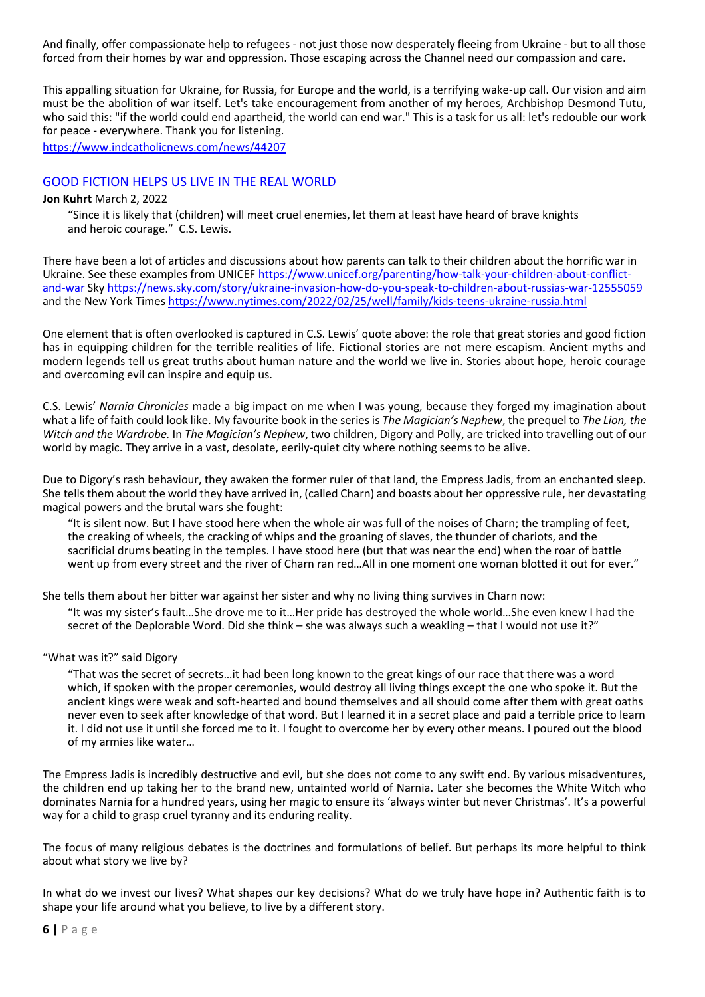And finally, offer compassionate help to refugees - not just those now desperately fleeing from Ukraine - but to all those forced from their homes by war and oppression. Those escaping across the Channel need our compassion and care.

This appalling situation for Ukraine, for Russia, for Europe and the world, is a terrifying wake-up call. Our vision and aim must be the abolition of war itself. Let's take encouragement from another of my heroes, Archbishop Desmond Tutu, who said this: "if the world could end apartheid, the world can end war." This is a task for us all: let's redouble our work for peace - everywhere. Thank you for listening.

<https://www.indcatholicnews.com/news/44207>

### GOOD FICTION HELPS US LIVE IN THE REAL WORLD

### **Jon Kuhrt** March 2, 2022

"Since it is likely that (children) will meet cruel enemies, let them at least have heard of brave knights and heroic courage." C.S. Lewis.

There have been a lot of articles and discussions about how parents can talk to their children about the horrific war in Ukraine. See these examples from UNICEF [https://www.unicef.org/parenting/how-talk-your-children-about-conflict](https://www.unicef.org/parenting/how-talk-your-children-about-conflict-and-war)[and-war](https://www.unicef.org/parenting/how-talk-your-children-about-conflict-and-war) Sk[y https://news.sky.com/story/ukraine-invasion-how-do-you-speak-to-children-about-russias-war-12555059](https://news.sky.com/story/ukraine-invasion-how-do-you-speak-to-children-about-russias-war-12555059) and the New York Times <https://www.nytimes.com/2022/02/25/well/family/kids-teens-ukraine-russia.html>

One element that is often overlooked is captured in C.S. Lewis' quote above: the role that great stories and good fiction has in equipping children for the terrible realities of life. Fictional stories are not mere escapism. Ancient myths and modern legends tell us great truths about human nature and the world we live in. Stories about hope, heroic courage and overcoming evil can inspire and equip us.

C.S. Lewis' *Narnia Chronicles* made a big impact on me when I was young, because they forged my imagination about what a life of faith could look like. My favourite book in the series is *The Magician's Nephew*, the prequel to *The Lion, the Witch and the Wardrobe.* In *The Magician's Nephew*, two children, Digory and Polly, are tricked into travelling out of our world by magic. They arrive in a vast, desolate, eerily-quiet city where nothing seems to be alive.

Due to Digory's rash behaviour, they awaken the former ruler of that land, the Empress Jadis, from an enchanted sleep. She tells them about the world they have arrived in, (called Charn) and boasts about her oppressive rule, her devastating magical powers and the brutal wars she fought:

"It is silent now. But I have stood here when the whole air was full of the noises of Charn; the trampling of feet, the creaking of wheels, the cracking of whips and the groaning of slaves, the thunder of chariots, and the sacrificial drums beating in the temples. I have stood here (but that was near the end) when the roar of battle went up from every street and the river of Charn ran red…All in one moment one woman blotted it out for ever."

She tells them about her bitter war against her sister and why no living thing survives in Charn now:

"It was my sister's fault…She drove me to it…Her pride has destroyed the whole world…She even knew I had the secret of the Deplorable Word. Did she think – she was always such a weakling – that I would not use it?"

### "What was it?" said Digory

"That was the secret of secrets…it had been long known to the great kings of our race that there was a word which, if spoken with the proper ceremonies, would destroy all living things except the one who spoke it. But the ancient kings were weak and soft-hearted and bound themselves and all should come after them with great oaths never even to seek after knowledge of that word. But I learned it in a secret place and paid a terrible price to learn it. I did not use it until she forced me to it. I fought to overcome her by every other means. I poured out the blood of my armies like water…

The Empress Jadis is incredibly destructive and evil, but she does not come to any swift end. By various misadventures, the children end up taking her to the brand new, untainted world of Narnia. Later she becomes the White Witch who dominates Narnia for a hundred years, using her magic to ensure its 'always winter but never Christmas'. It's a powerful way for a child to grasp cruel tyranny and its enduring reality.

The focus of many religious debates is the doctrines and formulations of belief. But perhaps its more helpful to think about what story we live by?

In what do we invest our lives? What shapes our key decisions? What do we truly have hope in? Authentic faith is to shape your life around what you believe, to live by a different story.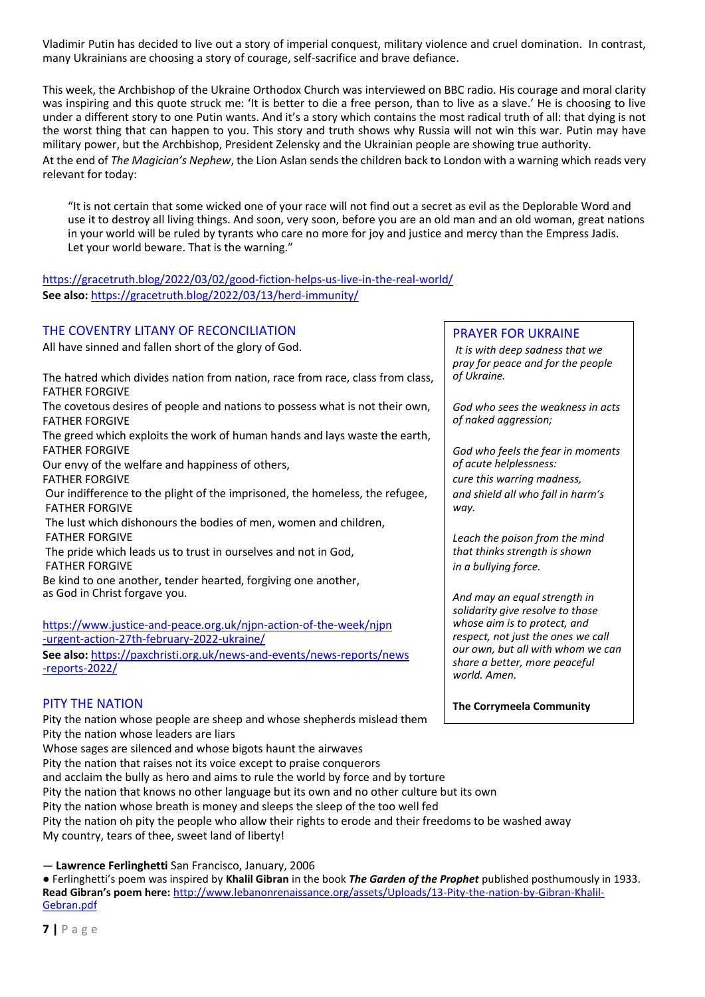Vladimir Putin has decided to live out a story of imperial conquest, military violence and cruel domination. In contrast, many Ukrainians are choosing a story of courage, self-sacrifice and brave defiance.

This week, the Archbishop of the Ukraine Orthodox Church was interviewed on BBC radio. His courage and moral clarity was inspiring and this quote struck me: 'It is better to die a free person, than to live as a slave.' He is choosing to live under a different story to one Putin wants. And it's a story which contains the most radical truth of all: that dying is not the worst thing that can happen to you. This story and truth shows why Russia will not win this war. Putin may have military power, but the Archbishop, President Zelensky and the Ukrainian people are showing true authority. At the end of *The Magician's Nephew*, the Lion Aslan sends the children back to London with a warning which reads very relevant for today:

"It is not certain that some wicked one of your race will not find out a secret as evil as the Deplorable Word and use it to destroy all living things. And soon, very soon, before you are an old man and an old woman, great nations in your world will be ruled by tyrants who care no more for joy and justice and mercy than the Empress Jadis. Let your world beware. That is the warning."

# <https://gracetruth.blog/2022/03/02/good-fiction-helps-us-live-in-the-real-world/> **See also:** <https://gracetruth.blog/2022/03/13/herd-immunity/>

# THE COVENTRY LITANY OF RECONCILIATION

All have sinned and fallen short of the glory of God.

The hatred which divides nation from nation, race from race, class from class, FATHER FORGIVE The covetous desires of people and nations to possess what is not their own, FATHER FORGIVE The greed which exploits the work of human hands and lays waste the earth, FATHER FORGIVE Our envy of the welfare and happiness of others, FATHER FORGIVE Our indifference to the plight of the imprisoned, the homeless, the refugee, FATHER FORGIVE The lust which dishonours the bodies of men, women and children, FATHER FORGIVE The pride which leads us to trust in ourselves and not in God, FATHER FORGIVE Be kind to one another, tender hearted, forgiving one another, as God in Christ forgave you.

[https://www.justice-and-peace.org.uk/njpn-action-of-the-week/njpn](https://www.justice-and-peace.org.uk/njpn-action-of-the-week/njpn%20%20%20%20%20%20%20%20%20%20%20%20%20%20%20%20%20%20%20%20%20%20%20%20%20%20%20%20%20%20%20%20%20%20%20%20%20%20%20%20%20%20%20%20%20%20%20%20%20%20%20%20%20%20%20%20%20%20%20%20%20%20%20%20%20%20%20%20%20%20%20%20%20%20%20%20%20%20%20%20%20%20%20%20%20%20%20%20%20%20%20%20%20%20%20%20%20%20%20%20%20%20%20%20%20%20%20%20%20%20%20%20%20%20%20%20%20%20%20%20%20%20%20%20-urgent-action-27th-february-2022-ukraine/)  [-urgent-action-27th-february-2022-ukraine/](https://www.justice-and-peace.org.uk/njpn-action-of-the-week/njpn%20%20%20%20%20%20%20%20%20%20%20%20%20%20%20%20%20%20%20%20%20%20%20%20%20%20%20%20%20%20%20%20%20%20%20%20%20%20%20%20%20%20%20%20%20%20%20%20%20%20%20%20%20%20%20%20%20%20%20%20%20%20%20%20%20%20%20%20%20%20%20%20%20%20%20%20%20%20%20%20%20%20%20%20%20%20%20%20%20%20%20%20%20%20%20%20%20%20%20%20%20%20%20%20%20%20%20%20%20%20%20%20%20%20%20%20%20%20%20%20%20%20%20%20-urgent-action-27th-february-2022-ukraine/)

**See also:** [https://paxchristi.org.uk/news-and-events/news-reports/news](https://paxchristi.org.uk/news-and-events/news-reports/news%20%20%20%20%20%20%20%20%20%20%20%20%20%20%20%20%20%20%20%20%20%20%20%20%20%20%20%20%20%20%20%20%20%20%20%20%20%20%20%20%20%20%20%20%20%20%20%20%20%20%20%20%20%20%20%20%20%20%20%20%20%20%20%20%20%20%20%20%20%20%20%20%20%20%20%20%20%20%20%20%20%20%20%20%20%20%20%20%20%20%20%20%20%20%20%20%20%20%20%20%20%20%20%20%20%20%20%20%20%20%20%20%20%20%20%20%20%20%20%20%20-reports-2022/)  [-reports-2022/](https://paxchristi.org.uk/news-and-events/news-reports/news%20%20%20%20%20%20%20%20%20%20%20%20%20%20%20%20%20%20%20%20%20%20%20%20%20%20%20%20%20%20%20%20%20%20%20%20%20%20%20%20%20%20%20%20%20%20%20%20%20%20%20%20%20%20%20%20%20%20%20%20%20%20%20%20%20%20%20%20%20%20%20%20%20%20%20%20%20%20%20%20%20%20%20%20%20%20%20%20%20%20%20%20%20%20%20%20%20%20%20%20%20%20%20%20%20%20%20%20%20%20%20%20%20%20%20%20%20%20%20%20%20-reports-2022/)

# PITY THE NATION

Pity the nation whose people are sheep and whose shepherds mislead them Pity the nation whose leaders are liars

Whose sages are silenced and whose bigots haunt the airwaves

Pity the nation that raises not its voice except to praise conquerors

and acclaim the bully as hero and aims to rule the world by force and by torture

Pity the nation that knows no other language but its own and no other culture but its own

Pity the nation whose breath is money and sleeps the sleep of the too well fed

Pity the nation oh pity the people who allow their rights to erode and their freedoms to be washed away My country, tears of thee, sweet land of liberty!

— **Lawrence Ferlinghetti** San Francisco, January, 2006

● Ferlinghetti's poem was inspired by **Khalil Gibran** in the book *The Garden of the Prophet* published posthumously in 1933. **Read Gibran's poem here:** [http://www.lebanonrenaissance.org/assets/Uploads/13-Pity-the-nation-by-Gibran-Khalil-](http://www.lebanonrenaissance.org/assets/Uploads/13-Pity-the-nation-by-Gibran-Khalil-Gebran.pdf)[Gebran.pdf](http://www.lebanonrenaissance.org/assets/Uploads/13-Pity-the-nation-by-Gibran-Khalil-Gebran.pdf)

# PRAYER FOR UKRAINE

*It is with deep sadness that we pray for peace and for the people of Ukraine.*

*God who sees the weakness in acts of naked aggression;*

*God who feels the fear in moments of acute helplessness: cure this warring madness, and shield all who fall in harm's way.*

*Leach the poison from the mind that thinks strength is shown in a bullying force.*

*And may an equal strength in solidarity give resolve to those whose aim is to protect, and respect, not just the ones we call our own, but all with whom we can share a better, more peaceful world. Amen.*

**The Corrymeela Community**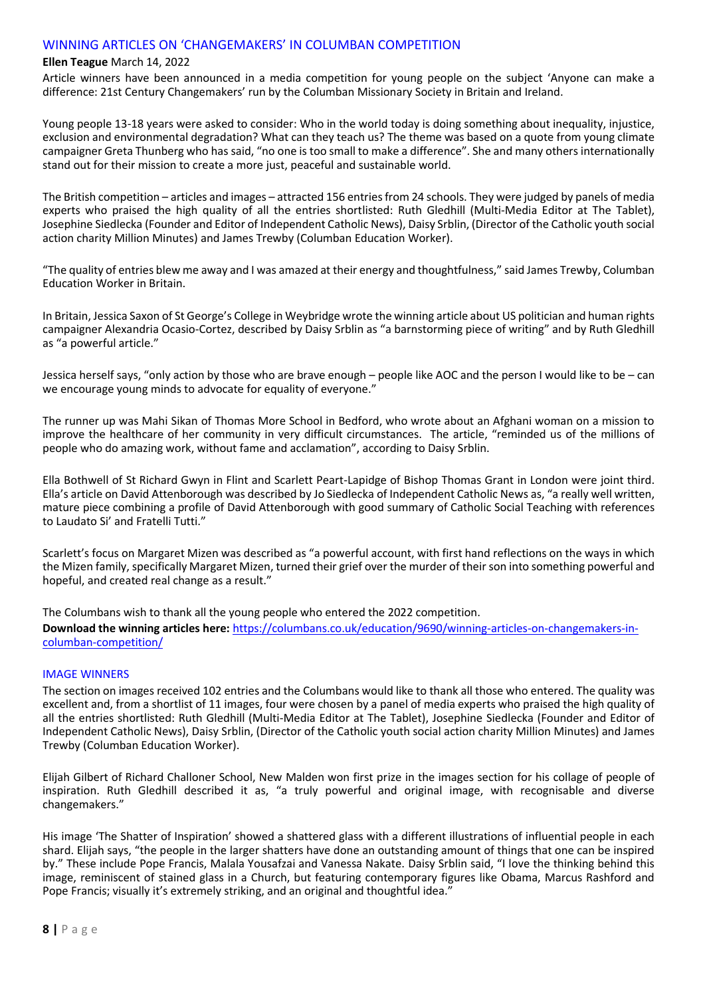# WINNING ARTICLES ON 'CHANGEMAKERS' IN COLUMBAN COMPETITION

#### **Ellen Teague** March 14, 2022

Article winners have been announced in a media competition for young people on the subject 'Anyone can make a difference: 21st Century Changemakers' run by the Columban Missionary Society in Britain and Ireland.

Young people 13-18 years were asked to consider: Who in the world today is doing something about inequality, injustice, exclusion and environmental degradation? What can they teach us? The theme was based on a quote from young climate campaigner Greta Thunberg who has said, "no one is too small to make a difference". She and many others internationally stand out for their mission to create a more just, peaceful and sustainable world.

The British competition – articles and images – attracted 156 entries from 24 schools. They were judged by panels of media experts who praised the high quality of all the entries shortlisted: Ruth Gledhill (Multi-Media Editor at The Tablet), Josephine Siedlecka (Founder and Editor of Independent Catholic News), Daisy Srblin, (Director of the Catholic youth social action charity Million Minutes) and James Trewby (Columban Education Worker).

"The quality of entries blew me away and I was amazed at their energy and thoughtfulness," said James Trewby, Columban Education Worker in Britain.

In Britain, Jessica Saxon of St George's College in Weybridge wrote the winning article about US politician and human rights campaigner Alexandria Ocasio-Cortez, described by Daisy Srblin as "a barnstorming piece of writing" and by Ruth Gledhill as "a powerful article."

Jessica herself says, "only action by those who are brave enough – people like AOC and the person I would like to be – can we encourage young minds to advocate for equality of everyone."

The runner up was Mahi Sikan of Thomas More School in Bedford, who wrote about an Afghani woman on a mission to improve the healthcare of her community in very difficult circumstances. The article, "reminded us of the millions of people who do amazing work, without fame and acclamation", according to Daisy Srblin.

Ella Bothwell of St Richard Gwyn in Flint and Scarlett Peart-Lapidge of Bishop Thomas Grant in London were joint third. Ella's article on David Attenborough was described by Jo Siedlecka of Independent Catholic News as, "a really well written, mature piece combining a profile of David Attenborough with good summary of Catholic Social Teaching with references to Laudato Si' and Fratelli Tutti."

Scarlett's focus on Margaret Mizen was described as "a powerful account, with first hand reflections on the ways in which the Mizen family, specifically Margaret Mizen, turned their grief over the murder of their son into something powerful and hopeful, and created real change as a result."

The Columbans wish to thank all the young people who entered the 2022 competition.

**Download the winning articles here:** [https://columbans.co.uk/education/9690/winning-articles-on-changemakers-in](https://columbans.co.uk/education/9690/winning-articles-on-changemakers-in-columban-competition/)[columban-competition/](https://columbans.co.uk/education/9690/winning-articles-on-changemakers-in-columban-competition/)

### IMAGE WINNERS

The section on images received 102 entries and the Columbans would like to thank all those who entered. The quality was excellent and, from a shortlist of 11 images, four were chosen by a panel of media experts who praised the high quality of all the entries shortlisted: Ruth Gledhill (Multi-Media Editor at The Tablet), Josephine Siedlecka (Founder and Editor of Independent Catholic News), Daisy Srblin, (Director of the Catholic youth social action charity Million Minutes) and James Trewby (Columban Education Worker).

Elijah Gilbert of Richard Challoner School, New Malden won first prize in the images section for his collage of people of inspiration. Ruth Gledhill described it as, "a truly powerful and original image, with recognisable and diverse changemakers."

His image 'The Shatter of Inspiration' showed a shattered glass with a different illustrations of influential people in each shard. Elijah says, "the people in the larger shatters have done an outstanding amount of things that one can be inspired by." These include Pope Francis, Malala Yousafzai and Vanessa Nakate. Daisy Srblin said, "I love the thinking behind this image, reminiscent of stained glass in a Church, but featuring contemporary figures like Obama, Marcus Rashford and Pope Francis; visually it's extremely striking, and an original and thoughtful idea."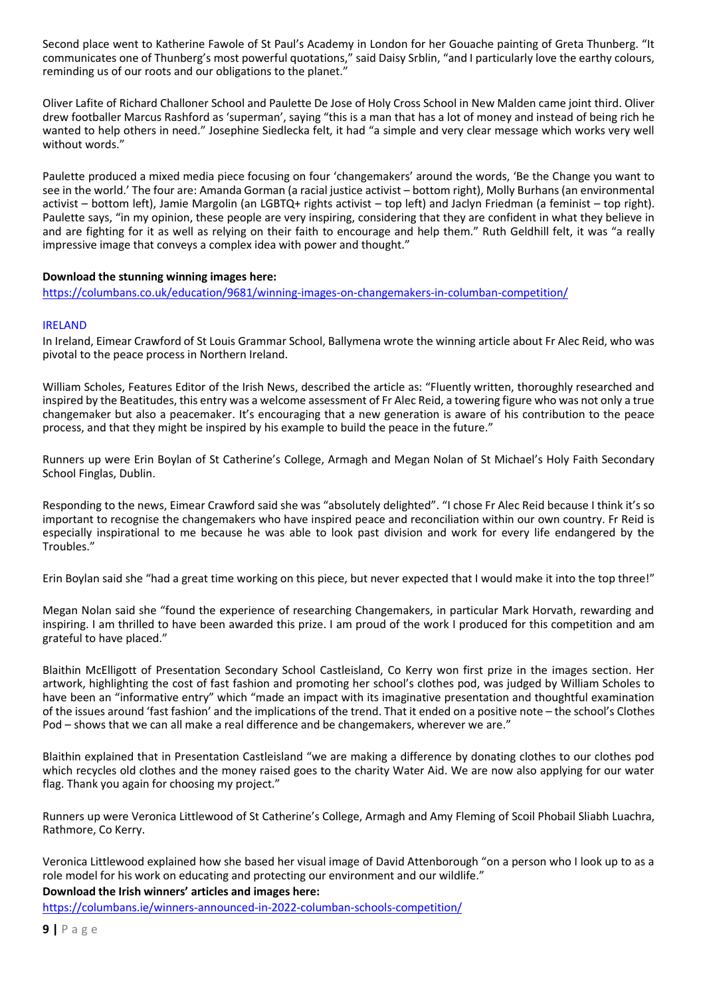Second place went to Katherine Fawole of St Paul's Academy in London for her Gouache painting of Greta Thunberg. "It communicates one of Thunberg's most powerful quotations," said Daisy Srblin, "and I particularly love the earthy colours, reminding us of our roots and our obligations to the planet."

Oliver Lafite of Richard Challoner School and Paulette De Jose of Holy Cross School in New Malden came joint third. Oliver drew footballer Marcus Rashford as 'superman', saying "this is a man that has a lot of money and instead of being rich he wanted to help others in need." Josephine Siedlecka felt, it had "a simple and very clear message which works very well without words."

Paulette produced a mixed media piece focusing on four 'changemakers' around the words, 'Be the Change you want to see in the world.' The four are: Amanda Gorman (a racial justice activist – bottom right), Molly Burhans (an environmental activist – bottom left), Jamie Margolin (an LGBTQ+ rights activist – top left) and Jaclyn Friedman (a feminist – top right). Paulette says, "in my opinion, these people are very inspiring, considering that they are confident in what they believe in and are fighting for it as well as relying on their faith to encourage and help them." Ruth Geldhill felt, it was "a really impressive image that conveys a complex idea with power and thought."

### **Download the stunning winning images here:**

<https://columbans.co.uk/education/9681/winning-images-on-changemakers-in-columban-competition/>

### IRELAND

In Ireland, Eimear Crawford of St Louis Grammar School, Ballymena wrote the winning article about Fr Alec Reid, who was pivotal to the peace process in Northern Ireland.

William Scholes, Features Editor of the Irish News, described the article as: "Fluently written, thoroughly researched and inspired by the Beatitudes, this entry was a welcome assessment of Fr Alec Reid, a towering figure who was not only a true changemaker but also a peacemaker. It's encouraging that a new generation is aware of his contribution to the peace process, and that they might be inspired by his example to build the peace in the future."

Runners up were Erin Boylan of St Catherine's College, Armagh and Megan Nolan of St Michael's Holy Faith Secondary School Finglas, Dublin.

Responding to the news, Eimear Crawford said she was "absolutely delighted". "I chose Fr Alec Reid because I think it's so important to recognise the changemakers who have inspired peace and reconciliation within our own country. Fr Reid is especially inspirational to me because he was able to look past division and work for every life endangered by the Troubles."

Erin Boylan said she "had a great time working on this piece, but never expected that I would make it into the top three!"

Megan Nolan said she "found the experience of researching Changemakers, in particular Mark Horvath, rewarding and inspiring. I am thrilled to have been awarded this prize. I am proud of the work I produced for this competition and am grateful to have placed."

Blaithin McElligott of Presentation Secondary School Castleisland, Co Kerry won first prize in the images section. Her artwork, highlighting the cost of fast fashion and promoting her school's clothes pod, was judged by William Scholes to have been an "informative entry" which "made an impact with its imaginative presentation and thoughtful examination of the issues around 'fast fashion' and the implications of the trend. That it ended on a positive note – the school's Clothes Pod – shows that we can all make a real difference and be changemakers, wherever we are."

Blaithin explained that in Presentation Castleisland "we are making a difference by donating clothes to our clothes pod which recycles old clothes and the money raised goes to the charity Water Aid. We are now also applying for our water flag. Thank you again for choosing my project."

Runners up were Veronica Littlewood of St Catherine's College, Armagh and Amy Fleming of Scoil Phobail Sliabh Luachra, Rathmore, Co Kerry.

Veronica Littlewood explained how she based her visual image of David Attenborough "on a person who I look up to as a role model for his work on educating and protecting our environment and our wildlife."

**Download the Irish winners' articles and images here:**

<https://columbans.ie/winners-announced-in-2022-columban-schools-competition/>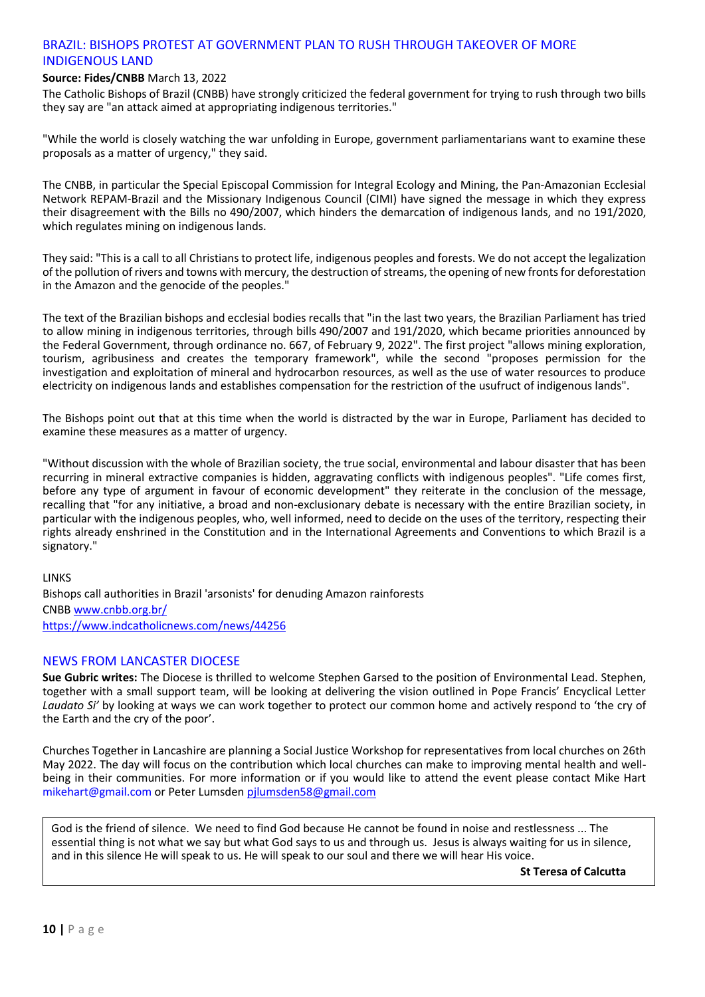# BRAZIL: BISHOPS PROTEST AT GOVERNMENT PLAN TO RUSH THROUGH TAKEOVER OF MORE INDIGENOUS LAND

# **Source: Fides/CNBB** March 13, 2022

The Catholic Bishops of Brazil (CNBB) have strongly criticized the federal government for trying to rush through two bills they say are "an attack aimed at appropriating indigenous territories."

"While the world is closely watching the war unfolding in Europe, government parliamentarians want to examine these proposals as a matter of urgency," they said.

The CNBB, in particular the Special Episcopal Commission for Integral Ecology and Mining, the Pan-Amazonian Ecclesial Network REPAM-Brazil and the Missionary Indigenous Council (CIMI) have signed the message in which they express their disagreement with the Bills no 490/2007, which hinders the demarcation of indigenous lands, and no 191/2020, which regulates mining on indigenous lands.

They said: "This is a call to all Christians to protect life, indigenous peoples and forests. We do not accept the legalization of the pollution of rivers and towns with mercury, the destruction of streams, the opening of new fronts for deforestation in the Amazon and the genocide of the peoples.'

The text of the Brazilian bishops and ecclesial bodies recalls that "in the last two years, the Brazilian Parliament has tried to allow mining in indigenous territories, through bills 490/2007 and 191/2020, which became priorities announced by the Federal Government, through ordinance no. 667, of February 9, 2022". The first project "allows mining exploration, tourism, agribusiness and creates the temporary framework", while the second "proposes permission for the investigation and exploitation of mineral and hydrocarbon resources, as well as the use of water resources to produce electricity on indigenous lands and establishes compensation for the restriction of the usufruct of indigenous lands".

The Bishops point out that at this time when the world is distracted by the war in Europe, Parliament has decided to examine these measures as a matter of urgency.

"Without discussion with the whole of Brazilian society, the true social, environmental and labour disaster that has been recurring in mineral extractive companies is hidden, aggravating conflicts with indigenous peoples". "Life comes first, before any type of argument in favour of economic development" they reiterate in the conclusion of the message, recalling that "for any initiative, a broad and non-exclusionary debate is necessary with the entire Brazilian society, in particular with the indigenous peoples, who, well informed, need to decide on the uses of the territory, respecting their rights already enshrined in the Constitution and in the International Agreements and Conventions to which Brazil is a signatory."

**LINKS** Bishops call authorities in Brazil 'arsonists' for denuding Amazon rainforests CNBB [www.cnbb.org.br/](http://www.cnbb.org.br/) <https://www.indcatholicnews.com/news/44256>

# NEWS FROM LANCASTER DIOCESE

**Sue Gubric writes:** The Diocese is thrilled to welcome Stephen Garsed to the position of Environmental Lead. Stephen, together with a small support team, will be looking at delivering the vision outlined in Pope Francis' Encyclical Letter *Laudato Si'* by looking at ways we can work together to protect our common home and actively respond to 'the cry of the Earth and the cry of the poor'.

Churches Together in Lancashire are planning a Social Justice Workshop for representatives from local churches on 26th May 2022. The day will focus on the contribution which local churches can make to improving mental health and wellbeing in their communities. For more information or if you would like to attend the event please contact Mike Hart mikehart@gmail.com or Peter Lumsde[n pjlumsden58@gmail.com](mailto:pjlumsden58@gmail.com)

God is the friend of silence. We need to find God because He cannot be found in noise and restlessness ... The essential thing is not what we say but what God says to us and through us. Jesus is always waiting for us in silence, and in this silence He will speak to us. He will speak to our soul and there we will hear His voice.

**St Teresa of Calcutta**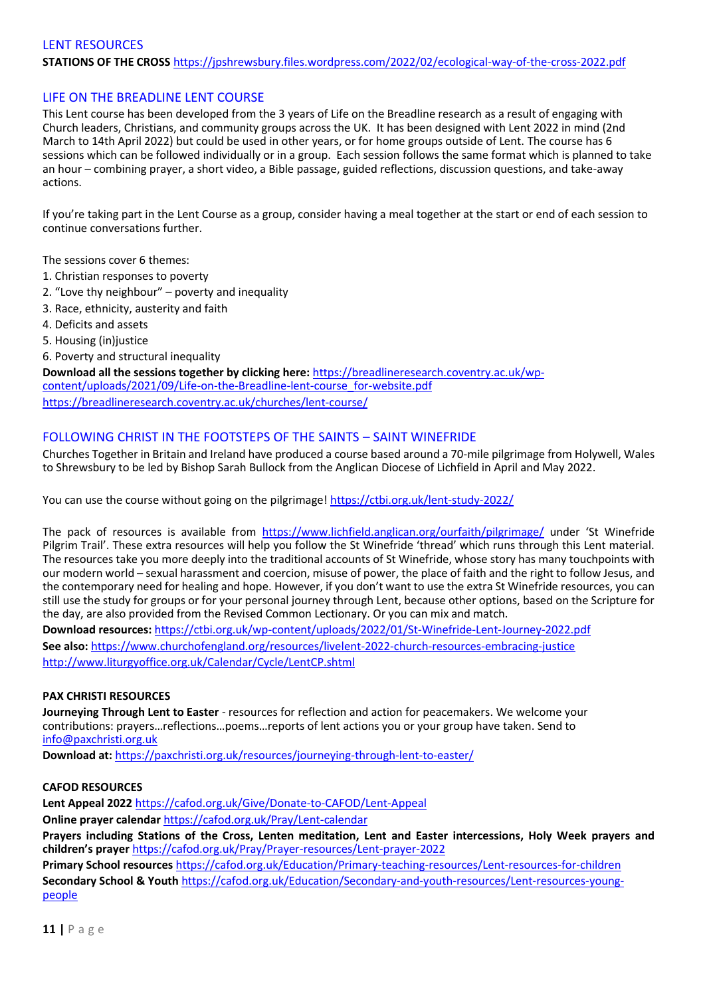# LENT RESOURCES **STATIONS OF THE CROSS** <https://jpshrewsbury.files.wordpress.com/2022/02/ecological-way-of-the-cross-2022.pdf>

# LIFE ON THE BREADLINE LENT COURSE

This Lent course has been developed from the 3 years of Life on the Breadline research as a result of engaging with Church leaders, Christians, and community groups across the UK. It has been designed with Lent 2022 in mind (2nd March to 14th April 2022) but could be used in other years, or for home groups outside of Lent. The course has 6 sessions which can be followed individually or in a group. Each session follows the same format which is planned to take an hour – combining prayer, a short video, a Bible passage, guided reflections, discussion questions, and take-away actions.

If you're taking part in the Lent Course as a group, consider having a meal together at the start or end of each session to continue conversations further.

The sessions cover 6 themes:

- 1. Christian responses to poverty
- 2. "Love thy neighbour" poverty and inequality
- 3. Race, ethnicity, austerity and faith
- 4. Deficits and assets
- 5. Housing (in)justice

6. Poverty and structural inequality

**Download all the sessions together by clicking here:** [https://breadlineresearch.coventry.ac.uk/wp](https://breadlineresearch.coventry.ac.uk/wp-content/uploads/2021/09/Life-on-the-Breadline-lent-course_for-website.pdf)[content/uploads/2021/09/Life-on-the-Breadline-lent-course\\_for-website.pdf](https://breadlineresearch.coventry.ac.uk/wp-content/uploads/2021/09/Life-on-the-Breadline-lent-course_for-website.pdf) <https://breadlineresearch.coventry.ac.uk/churches/lent-course/>

# FOLLOWING CHRIST IN THE FOOTSTEPS OF THE SAINTS – SAINT WINEFRIDE

Churches Together in Britain and Ireland have produced a course based around a 70-mile pilgrimage from Holywell, Wales to Shrewsbury to be led by Bishop Sarah Bullock from the Anglican Diocese of Lichfield in April and May 2022.

You can use the course without going on the pilgrimage!<https://ctbi.org.uk/lent-study-2022/>

The pack of resources is available from <https://www.lichfield.anglican.org/ourfaith/pilgrimage/> under 'St Winefride Pilgrim Trail'. These extra resources will help you follow the St Winefride 'thread' which runs through this Lent material. The resources take you more deeply into the traditional accounts of St Winefride, whose story has many touchpoints with our modern world – sexual harassment and coercion, misuse of power, the place of faith and the right to follow Jesus, and the contemporary need for healing and hope. However, if you don't want to use the extra St Winefride resources, you can still use the study for groups or for your personal journey through Lent, because other options, based on the Scripture for the day, are also provided from the Revised Common Lectionary. Or you can mix and match.

**Download resources:** <https://ctbi.org.uk/wp-content/uploads/2022/01/St-Winefride-Lent-Journey-2022.pdf> **See also:** <https://www.churchofengland.org/resources/livelent-2022-church-resources-embracing-justice> <http://www.liturgyoffice.org.uk/Calendar/Cycle/LentCP.shtml>

### **PAX CHRISTI RESOURCES**

**Journeying Through Lent to Easter** - resources for reflection and action for peacemakers. We welcome your contributions: prayers…reflections…poems…reports of lent actions you or your group have taken. Send to [info@paxchristi.org.uk](mailto:info@paxchristi.org.uk)

**Download at:** <https://paxchristi.org.uk/resources/journeying-through-lent-to-easter/>

### **CAFOD RESOURCES**

**Lent Appeal 2022** <https://cafod.org.uk/Give/Donate-to-CAFOD/Lent-Appeal> **Online prayer calendar** <https://cafod.org.uk/Pray/Lent-calendar>

**Prayers including Stations of the Cross, Lenten meditation, Lent and Easter intercessions, Holy Week prayers and children's prayer** <https://cafod.org.uk/Pray/Prayer-resources/Lent-prayer-2022> **Primary School resources** <https://cafod.org.uk/Education/Primary-teaching-resources/Lent-resources-for-children> **Secondary School & Youth** [https://cafod.org.uk/Education/Secondary-and-youth-resources/Lent-resources-young-](https://cafod.org.uk/Education/Secondary-and-youth-resources/Lent-resources-young-people)

[people](https://cafod.org.uk/Education/Secondary-and-youth-resources/Lent-resources-young-people)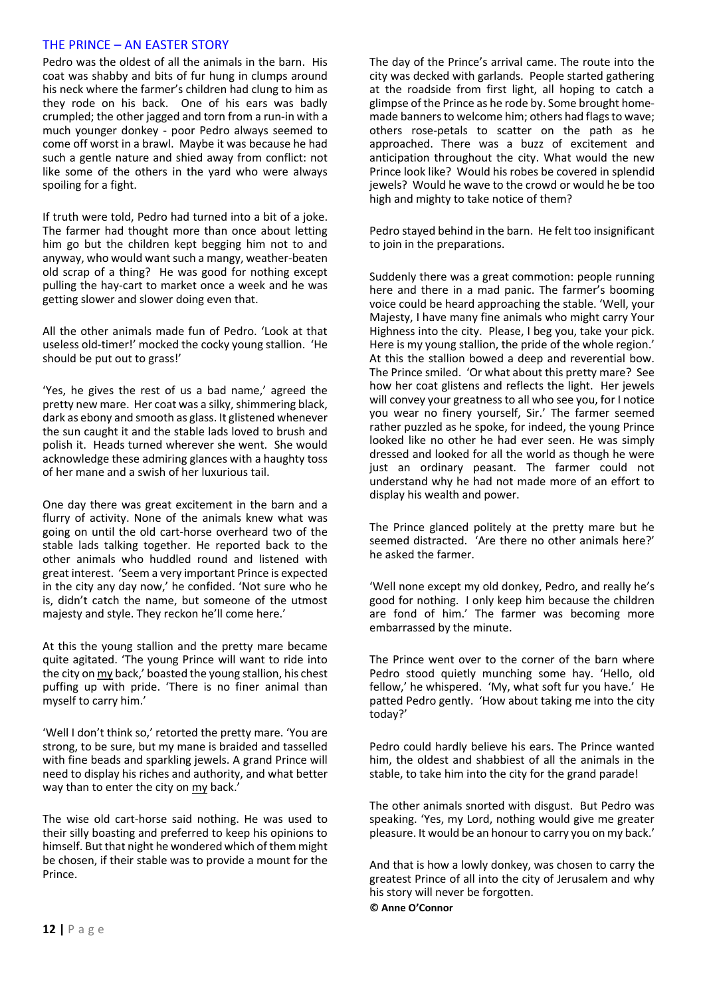# THE PRINCE – AN EASTER STORY

Pedro was the oldest of all the animals in the barn. His coat was shabby and bits of fur hung in clumps around his neck where the farmer's children had clung to him as they rode on his back. One of his ears was badly crumpled; the other jagged and torn from a run-in with a much younger donkey - poor Pedro always seemed to come off worst in a brawl. Maybe it was because he had such a gentle nature and shied away from conflict: not like some of the others in the yard who were always spoiling for a fight.

If truth were told, Pedro had turned into a bit of a joke. The farmer had thought more than once about letting him go but the children kept begging him not to and anyway, who would want such a mangy, weather-beaten old scrap of a thing? He was good for nothing except pulling the hay-cart to market once a week and he was getting slower and slower doing even that.

All the other animals made fun of Pedro. 'Look at that useless old-timer!' mocked the cocky young stallion. 'He should be put out to grass!'

'Yes, he gives the rest of us a bad name,' agreed the pretty new mare. Her coat was a silky, shimmering black, dark as ebony and smooth as glass. It glistened whenever the sun caught it and the stable lads loved to brush and polish it. Heads turned wherever she went. She would acknowledge these admiring glances with a haughty toss of her mane and a swish of her luxurious tail.

One day there was great excitement in the barn and a flurry of activity. None of the animals knew what was going on until the old cart-horse overheard two of the stable lads talking together. He reported back to the other animals who huddled round and listened with great interest. 'Seem a very important Prince is expected in the city any day now,' he confided. 'Not sure who he is, didn't catch the name, but someone of the utmost majesty and style. They reckon he'll come here.'

At this the young stallion and the pretty mare became quite agitated. 'The young Prince will want to ride into the city on my back,' boasted the young stallion, his chest puffing up with pride. 'There is no finer animal than myself to carry him.'

'Well I don't think so,' retorted the pretty mare. 'You are strong, to be sure, but my mane is braided and tasselled with fine beads and sparkling jewels. A grand Prince will need to display his riches and authority, and what better way than to enter the city on my back.'

The wise old cart-horse said nothing. He was used to their silly boasting and preferred to keep his opinions to himself. But that night he wondered which of them might be chosen, if their stable was to provide a mount for the Prince.

The day of the Prince's arrival came. The route into the city was decked with garlands. People started gathering at the roadside from first light, all hoping to catch a glimpse of the Prince as he rode by. Some brought homemade banners to welcome him; others had flags to wave; others rose-petals to scatter on the path as he approached. There was a buzz of excitement and anticipation throughout the city. What would the new Prince look like? Would his robes be covered in splendid jewels? Would he wave to the crowd or would he be too high and mighty to take notice of them?

Pedro stayed behind in the barn. He felt too insignificant to join in the preparations.

Suddenly there was a great commotion: people running here and there in a mad panic. The farmer's booming voice could be heard approaching the stable. 'Well, your Majesty, I have many fine animals who might carry Your Highness into the city. Please, I beg you, take your pick. Here is my young stallion, the pride of the whole region.' At this the stallion bowed a deep and reverential bow. The Prince smiled. 'Or what about this pretty mare? See how her coat glistens and reflects the light. Her jewels will convey your greatness to all who see you, for I notice you wear no finery yourself, Sir.' The farmer seemed rather puzzled as he spoke, for indeed, the young Prince looked like no other he had ever seen. He was simply dressed and looked for all the world as though he were just an ordinary peasant. The farmer could not understand why he had not made more of an effort to display his wealth and power.

The Prince glanced politely at the pretty mare but he seemed distracted. 'Are there no other animals here?' he asked the farmer.

'Well none except my old donkey, Pedro, and really he's good for nothing. I only keep him because the children are fond of him.' The farmer was becoming more embarrassed by the minute.

The Prince went over to the corner of the barn where Pedro stood quietly munching some hay. 'Hello, old fellow,' he whispered. 'My, what soft fur you have.' He patted Pedro gently. 'How about taking me into the city today?'

Pedro could hardly believe his ears. The Prince wanted him, the oldest and shabbiest of all the animals in the stable, to take him into the city for the grand parade!

The other animals snorted with disgust. But Pedro was speaking. 'Yes, my Lord, nothing would give me greater pleasure. It would be an honour to carry you on my back.'

And that is how a lowly donkey, was chosen to carry the greatest Prince of all into the city of Jerusalem and why his story will never be forgotten. **© Anne O'Connor**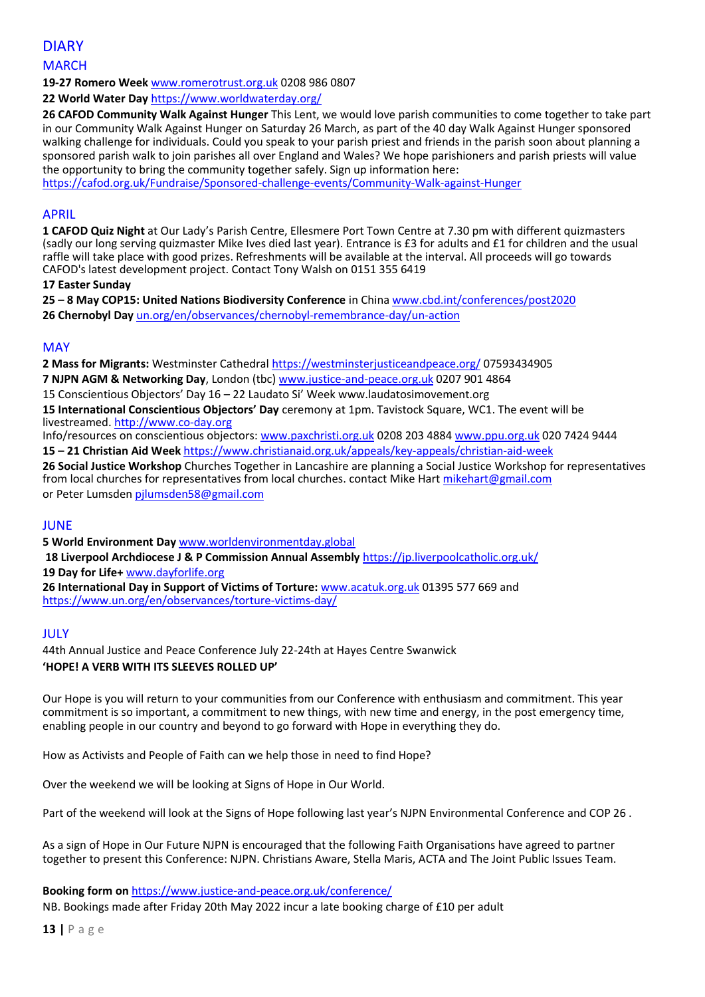DIARY **MARCH** 

**19-27 Romero Week** [www.romerotrust.org.uk](http://www.romerotrust.org.uk/) 0208 986 0807

**22 World Water Day** <https://www.worldwaterday.org/>

**26 CAFOD Community Walk Against Hunger** This Lent, we would love parish communities to come together to take part in our Community Walk Against Hunger on Saturday 26 March, as part of the 40 day Walk Against Hunger sponsored walking challenge for individuals. Could you speak to your parish priest and friends in the parish soon about planning a sponsored parish walk to join parishes all over England and Wales? We hope parishioners and parish priests will value the opportunity to bring the community together safely. Sign up information here:

<https://cafod.org.uk/Fundraise/Sponsored-challenge-events/Community-Walk-against-Hunger>

# APRIL

**1 CAFOD Quiz Night** at Our Lady's Parish Centre, Ellesmere Port Town Centre at 7.30 pm with different quizmasters (sadly our long serving quizmaster Mike Ives died last year). Entrance is £3 for adults and £1 for children and the usual raffle will take place with good prizes. Refreshments will be available at the interval. All proceeds will go towards CAFOD's latest development project. Contact Tony Walsh on 0151 355 6419

### **17 Easter Sunday**

**25 – 8 May COP15: United Nations Biodiversity Conference** in Chin[a www.cbd.int/conferences/post2020](http://www.cbd.int/conferences/post2020) **26 Chernobyl Day** un.org/en/observances/chernobyl-remembrance-day/un-action

### MAY

**2 Mass for Migrants:** Westminster Cathedra[l https://westminsterjusticeandpeace.org/](https://westminsterjusticeandpeace.org/) 07593434905

**7 NJPN AGM & Networking Day**, London (tbc[\) www.justice-and-peace.org.uk](http://www.justice-and-peace.org.uk/) 0207 901 4864

15 Conscientious Objectors' Day 16 – 22 Laudato Si' Week www.laudatosimovement.org

**15 International Conscientious Objectors' Day** ceremony at 1pm. Tavistock Square, WC1. The event will be livestreamed[. http://www.co-day.org](http://www.co-day.org/)

Info/resources on conscientious objectors: [www.paxchristi.org.uk](http://www.paxchristi.org.uk/) 0208 203 4884 [www.ppu.org.uk](http://www.ppu.org.uk/) 020 7424 9444 **15 – 21 Christian Aid Week** <https://www.christianaid.org.uk/appeals/key-appeals/christian-aid-week>

**26 Social Justice Workshop** Churches Together in Lancashire are planning a Social Justice Workshop for representatives from local churches for representatives from local churches. contact Mike Hart [mikehart@gmail.com](mailto:mikehart@gmail.com) or Peter Lumsden [pjlumsden58@gmail.com](mailto:pjlumsden58@gmail.com)

# JUNE

**5 World Environment Day** [www.worldenvironmentday.global](http://www.worldenvironmentday.global/)

**18 Liverpool Archdiocese J & P Commission Annual Assembly** <https://jp.liverpoolcatholic.org.uk/> **19 Day for Life+** [www.dayforlife.org](http://www.dayforlife.org/)

**26 International Day in Support of Victims of Torture:** [www.acatuk.org.uk](http://www.acatuk.org.uk/) 01395 577 669 and https://www.un.org/en/observances/torture-victims-day/

# JULY

44th Annual Justice and Peace Conference July 22-24th at Hayes Centre Swanwick **'HOPE! A VERB WITH ITS SLEEVES ROLLED UP'**

Our Hope is you will return to your communities from our Conference with enthusiasm and commitment. This year commitment is so important, a commitment to new things, with new time and energy, in the post emergency time, enabling people in our country and beyond to go forward with Hope in everything they do.

How as Activists and People of Faith can we help those in need to find Hope?

Over the weekend we will be looking at Signs of Hope in Our World.

Part of the weekend will look at the Signs of Hope following last year's NJPN Environmental Conference and COP 26 .

As a sign of Hope in Our Future NJPN is encouraged that the following Faith Organisations have agreed to partner together to present this Conference: NJPN. Christians Aware, Stella Maris, ACTA and The Joint Public Issues Team.

### **Booking form on** <https://www.justice-and-peace.org.uk/conference/>

NB. Bookings made after Friday 20th May 2022 incur a late booking charge of £10 per adult